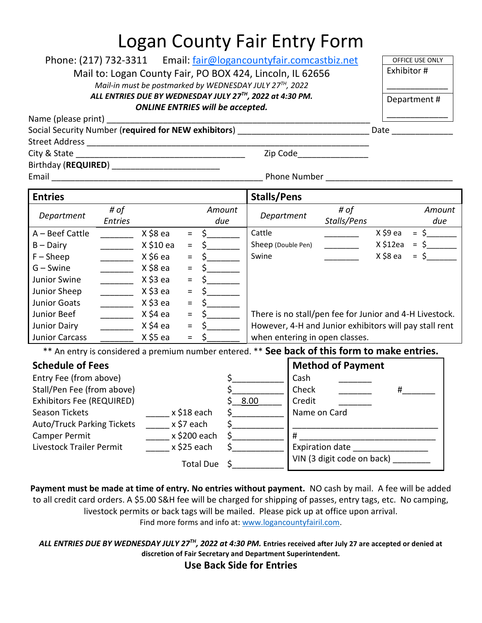## Logan County Fair Entry Form

| Phone: (217) 732-3311 Email: <u>fair@logancountyfair.comcastbiz.net</u><br>Mail to: Logan County Fair, PO BOX 424, Lincoln, IL 62656<br>Mail-in must be postmarked by WEDNESDAY JULY 27 <sup>TH</sup> , 2022<br>ALL ENTRIES DUE BY WEDNESDAY JULY 27TH, 2022 at 4:30 PM.<br><b>ONLINE ENTRIES will be accepted.</b><br>Name (please print)<br>Social Security Number (required for NEW exhibitors) ___________________________<br>Zip Code___________________                                                                                                                                                                                                                                      |                                                                                                                         |                                                                                                                                                                                                                                                                                                                                                                 |                                                             |                                                        |                                              |                                                                                                                                                     |                       | OFFICE USE ONLY<br>Exhibitor #<br>Department#<br>Date $\qquad$ |  |
|----------------------------------------------------------------------------------------------------------------------------------------------------------------------------------------------------------------------------------------------------------------------------------------------------------------------------------------------------------------------------------------------------------------------------------------------------------------------------------------------------------------------------------------------------------------------------------------------------------------------------------------------------------------------------------------------------|-------------------------------------------------------------------------------------------------------------------------|-----------------------------------------------------------------------------------------------------------------------------------------------------------------------------------------------------------------------------------------------------------------------------------------------------------------------------------------------------------------|-------------------------------------------------------------|--------------------------------------------------------|----------------------------------------------|-----------------------------------------------------------------------------------------------------------------------------------------------------|-----------------------|----------------------------------------------------------------|--|
| Birthday (REQUIRED) ____________________________                                                                                                                                                                                                                                                                                                                                                                                                                                                                                                                                                                                                                                                   |                                                                                                                         |                                                                                                                                                                                                                                                                                                                                                                 |                                                             |                                                        |                                              |                                                                                                                                                     |                       |                                                                |  |
| <b>Entries</b>                                                                                                                                                                                                                                                                                                                                                                                                                                                                                                                                                                                                                                                                                     |                                                                                                                         |                                                                                                                                                                                                                                                                                                                                                                 |                                                             | <b>Stalls/Pens</b>                                     |                                              |                                                                                                                                                     |                       |                                                                |  |
| # of<br>Department<br><b>Entries</b>                                                                                                                                                                                                                                                                                                                                                                                                                                                                                                                                                                                                                                                               |                                                                                                                         | Amount<br>due                                                                                                                                                                                                                                                                                                                                                   |                                                             | Department                                             |                                              | # of<br>Stalls/Pens                                                                                                                                 |                       | Amount<br>due                                                  |  |
| $A - Beef$ Cattle<br>$\mathcal{L}=\frac{1}{2} \sum_{i=1}^{n} \frac{1}{2} \sum_{i=1}^{n} \frac{1}{2} \sum_{i=1}^{n} \frac{1}{2} \sum_{i=1}^{n} \frac{1}{2} \sum_{i=1}^{n} \frac{1}{2} \sum_{i=1}^{n} \frac{1}{2} \sum_{i=1}^{n} \frac{1}{2} \sum_{i=1}^{n} \frac{1}{2} \sum_{i=1}^{n} \frac{1}{2} \sum_{i=1}^{n} \frac{1}{2} \sum_{i=1}^{n} \frac{1}{2} \sum_{i=1}^{n} \frac{1}{2} \sum_{$<br>$B -$ Dairy<br>$\frac{1}{1}$<br>$F - Sheep$<br>$G -$ Swine<br>$\mathcal{L}=\{1,2,3,4\}$ .<br>Junior Swine<br>$\overline{\phantom{a}}$<br>Junior Sheep<br><b>Junior Goats</b><br>$\frac{1}{2}$<br>Junior Beef<br>$\frac{1}{2}$<br><b>Junior Dairy</b><br>$\mathcal{L} = \mathcal{L}$<br>Junior Carcass | X \$8 e a<br>X \$10 ea<br>X \$6 e a<br>X \$8 ea<br>X \$3 ea<br>X \$3 ea<br>X \$3 ea<br>X \$4 ea<br>X \$4 ea<br>X \$5 ea | $\frac{1}{2}$<br>$\equiv$<br>$\frac{1}{2}$<br>$\equiv$<br>$\zeta$ , we have the set of $\zeta$<br>$\equiv$<br>\$________<br>$\equiv$<br>$\equiv$<br>$\frac{1}{2}$<br>$\equiv$<br>$\frac{\zeta_{\frac{1}{2}}}{\zeta_{\frac{1}{2}}}{\zeta_{\frac{1}{2}}}$<br>$\equiv$<br>$\frac{1}{2}$<br>$\equiv$<br>$\mathsf{\dot{S}}$<br>$\equiv$<br>$\frac{1}{2}$<br>$\equiv$ |                                                             | Cattle<br>Sheep (Double Pen)<br>Swine                  |                                              | There is no stall/pen fee for Junior and 4-H Livestock.<br>However, 4-H and Junior exhibitors will pay stall rent<br>when entering in open classes. | X \$9 ea<br>X \$8 e a | $=$ \$<br>$X $12ea = $$<br>$=$ \$                              |  |
| ** An entry is considered a premium number entered. ** See back of this form to make entries.<br><b>Schedule of Fees</b><br>Entry Fee (from above)<br>Stall/Pen Fee (from above)<br>Exhibitors Fee (REQUIRED)<br>Season Tickets<br><b>Auto/Truck Parking Tickets</b><br><b>Camper Permit</b><br>Livestock Trailer Permit                                                                                                                                                                                                                                                                                                                                                                           | x \$7 each                                                                                                              | x \$18 each<br>x \$200 each<br>x \$25 each<br>Total Due                                                                                                                                                                                                                                                                                                         | $\sharp$ , the set of $\sharp$<br>Ś.<br>\$.<br>$\mathsf{S}$ | 8.00<br>$\sharp$ and $\sharp$<br>$\sharp$ and $\sharp$ | Cash<br>Check<br>Credit<br>Name on Card<br># | <b>Method of Payment</b><br>Expiration date _________________<br>VIN (3 digit code on back)                                                         | #                     |                                                                |  |

**Payment must be made at time of entry. No entries without payment.** NO cash by mail. A fee will be added to all credit card orders. A \$5.00 S&H fee will be charged for shipping of passes, entry tags, etc. No camping, livestock permits or back tags will be mailed. Please pick up at office upon arrival. Find more forms and info at: [www.logancountyfairil.com.](http://www.logancountyfairil.com/)

*ALL ENTRIES DUE BY WEDNESDAY JULY 27 TH, 2022 at 4:30 PM.* **Entries received after July 27 are accepted or denied at discretion of Fair Secretary and Department Superintendent.**

**Use Back Side for Entries**